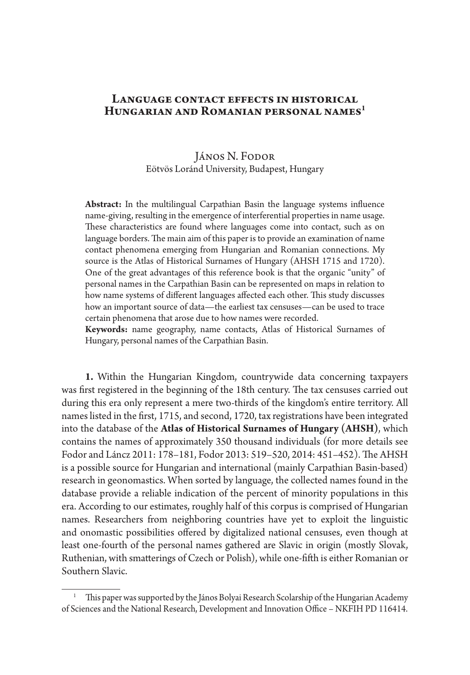## LANGUAGE CONTACT EFFECTS IN HISTORICAL **Hungarian and Romanian personal names1**

## János N. Fodor Eötvös Loránd University, Budapest, Hungary

**Abstract:** In the multilingual Carpathian Basin the language systems influence name-giving, resulting in the emergence of interferential properties in name usage. These characteristics are found where languages come into contact, such as on language borders. The main aim of this paper is to provide an examination of name contact phenomena emerging from Hungarian and Romanian connections. My source is the Atlas of Historical Surnames of Hungary (AHSH 1715 and 1720). One of the great advantages of this reference book is that the organic "unity" of personal names in the Carpathian Basin can be represented on maps in relation to how name systems of different languages affected each other. This study discusses how an important source of data—the earliest tax censuses—can be used to trace certain phenomena that arose due to how names were recorded.

**Keywords:** name geography, name contacts, Atlas of Historical Surnames of Hungary, personal names of the Carpathian Basin.

**1.** Within the Hungarian Kingdom, countrywide data concerning taxpayers was first registered in the beginning of the 18th century. The tax censuses carried out during this era only represent a mere two-thirds of the kingdom's entire territory. All names listed in the first, 1715, and second, 1720, tax registrations have been integrated into the database of the **Atlas of Historical Surnames of Hungary (AHSH)**, which contains the names of approximately 350 thousand individuals (for more details see Fodor and Láncz 2011: 178–181, Fodor 2013: 519–520, 2014: 451–452). The AHSH is a possible source for Hungarian and international (mainly Carpathian Basin-based) research in geonomastics. When sorted by language, the collected names found in the database provide a reliable indication of the percent of minority populations in this era. According to our estimates, roughly half of this corpus is comprised of Hungarian names. Researchers from neighboring countries have yet to exploit the linguistic and onomastic possibilities offered by digitalized national censuses, even though at least one-fourth of the personal names gathered are Slavic in origin (mostly Slovak, Ruthenian, with smatterings of Czech or Polish), while one-fifth is either Romanian or Southern Slavic.

<sup>1</sup> This paper was supported by the János Bolyai Research Scolarship of the Hungarian Academy of Sciences and the National Research, Development and Innovation Office – NKFIH PD 116414.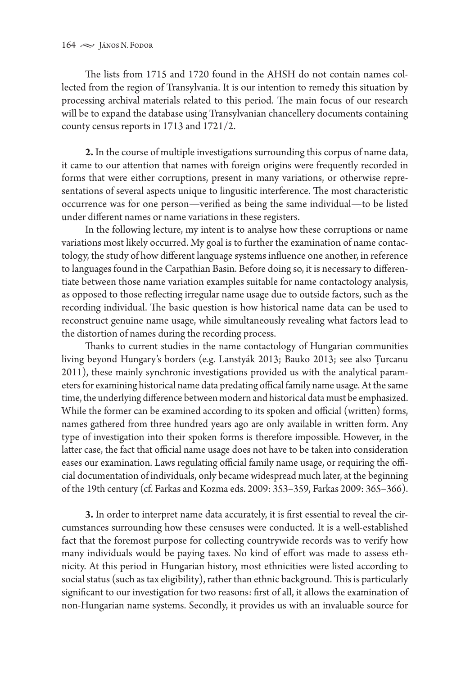The lists from 1715 and 1720 found in the AHSH do not contain names collected from the region of Transylvania. It is our intention to remedy this situation by processing archival materials related to this period. The main focus of our research will be to expand the database using Transylvanian chancellery documents containing county census reports in 1713 and 1721/2.

**2.** In the course of multiple investigations surrounding this corpus of name data, it came to our attention that names with foreign origins were frequently recorded in forms that were either corruptions, present in many variations, or otherwise representations of several aspects unique to lingusitic interference. The most characteristic occurrence was for one person—verified as being the same individual—to be listed under different names or name variations in these registers.

In the following lecture, my intent is to analyse how these corruptions or name variations most likely occurred. My goal is to further the examination of name contactology, the study of how different language systems influence one another, in reference to languages found in the Carpathian Basin. Before doing so, it is necessary to differentiate between those name variation examples suitable for name contactology analysis, as opposed to those reflecting irregular name usage due to outside factors, such as the recording individual. The basic question is how historical name data can be used to reconstruct genuine name usage, while simultaneously revealing what factors lead to the distortion of names during the recording process.

Thanks to current studies in the name contactology of Hungarian communities living beyond Hungary's borders (e.g. Lanstyák 2013; Bauko 2013; see also Ţurcanu 2011), these mainly synchronic investigations provided us with the analytical parameters for examining historical name data predating offical family name usage. At the same time, the underlying difference between modern and historical data must be emphasized. While the former can be examined according to its spoken and official (written) forms, names gathered from three hundred years ago are only available in written form. Any type of investigation into their spoken forms is therefore impossible. However, in the latter case, the fact that official name usage does not have to be taken into consideration eases our examination. Laws regulating official family name usage, or requiring the official documentation of individuals, only became widespread much later, at the beginning of the 19th century (cf. Farkas and Kozma eds. 2009: 353–359, Farkas 2009: 365–366).

**3.** In order to interpret name data accurately, it is first essential to reveal the circumstances surrounding how these censuses were conducted. It is a well-established fact that the foremost purpose for collecting countrywide records was to verify how many individuals would be paying taxes. No kind of effort was made to assess ethnicity. At this period in Hungarian history, most ethnicities were listed according to social status (such as tax eligibility), rather than ethnic background. This is particularly significant to our investigation for two reasons: first of all, it allows the examination of non-Hungarian name systems. Secondly, it provides us with an invaluable source for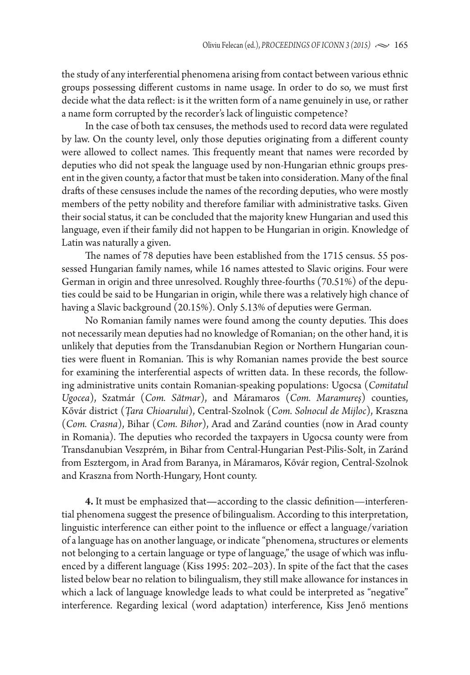the study of any interferential phenomena arising from contact between various ethnic groups possessing different customs in name usage. In order to do so, we must first decide what the data reflect: is it the written form of a name genuinely in use, or rather a name form corrupted by the recorder's lack of linguistic competence?

In the case of both tax censuses, the methods used to record data were regulated by law. On the county level, only those deputies originating from a different county were allowed to collect names. This frequently meant that names were recorded by deputies who did not speak the language used by non-Hungarian ethnic groups present in the given county, a factor that must be taken into consideration. Many of the final drafts of these censuses include the names of the recording deputies, who were mostly members of the petty nobility and therefore familiar with administrative tasks. Given their social status, it can be concluded that the majority knew Hungarian and used this language, even if their family did not happen to be Hungarian in origin. Knowledge of Latin was naturally a given.

The names of 78 deputies have been established from the 1715 census. 55 possessed Hungarian family names, while 16 names attested to Slavic origins. Four were German in origin and three unresolved. Roughly three-fourths (70.51%) of the deputies could be said to be Hungarian in origin, while there was a relatively high chance of having a Slavic background (20.15%). Only 5.13% of deputies were German.

No Romanian family names were found among the county deputies. This does not necessarily mean deputies had no knowledge of Romanian; on the other hand, it is unlikely that deputies from the Transdanubian Region or Northern Hungarian counties were fluent in Romanian. This is why Romanian names provide the best source for examining the interferential aspects of written data. In these records, the following administrative units contain Romanian-speaking populations: Ugocsa (*Comitatul Ugocea*), Szatmár (*Com. Sătmar*), and Máramaros (*Com. Maramureş*) counties, Kővár district (*Ţara Chioarului*), Central-Szolnok (*Com. Solnocul de Mijloc*), Kraszna (*Com. Crasna*), Bihar (*Com. Bihor*), Arad and Zaránd counties (now in Arad county in Romania). The deputies who recorded the taxpayers in Ugocsa county were from Transdanubian Veszprém, in Bihar from Central-Hungarian Pest-Pilis-Solt, in Zaránd from Esztergom, in Arad from Baranya, in Máramaros, Kővár region, Central-Szolnok and Kraszna from North-Hungary, Hont county.

**4.** It must be emphasized that**—**according to the classic definition—interferential phenomena suggest the presence of bilingualism. According to this interpretation, linguistic interference can either point to the influence or effect a language/variation of a language has on another language, or indicate "phenomena, structures or elements not belonging to a certain language or type of language," the usage of which was influenced by a different language (Kiss 1995: 202–203). In spite of the fact that the cases listed below bear no relation to bilingualism, they still make allowance for instances in which a lack of language knowledge leads to what could be interpreted as "negative" interference. Regarding lexical (word adaptation) interference, Kiss Jenő mentions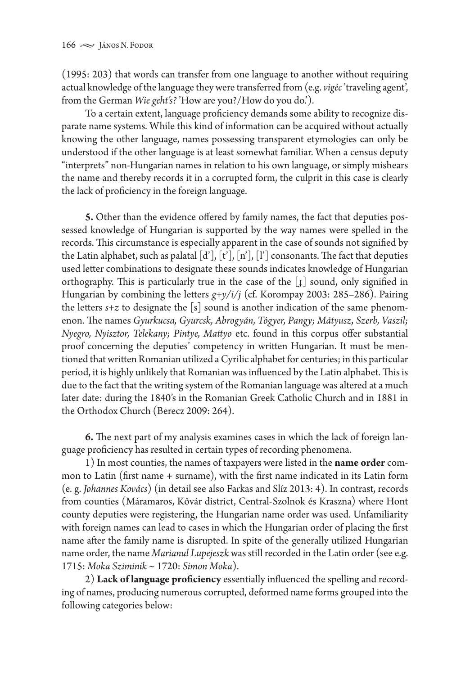(1995: 203) that words can transfer from one language to another without requiring actual knowledge of the language they were transferred from (e.g. *vigéc* 'traveling agent', from the German *Wie geht's?* 'How are you?/How do you do.').

To a certain extent, language proficiency demands some ability to recognize disparate name systems. While this kind of information can be acquired without actually knowing the other language, names possessing transparent etymologies can only be understood if the other language is at least somewhat familiar. When a census deputy "interprets" non-Hungarian names in relation to his own language, or simply mishears the name and thereby records it in a corrupted form, the culprit in this case is clearly the lack of proficiency in the foreign language.

**5.** Other than the evidence offered by family names, the fact that deputies possessed knowledge of Hungarian is supported by the way names were spelled in the records. This circumstance is especially apparent in the case of sounds not signified by the Latin alphabet, such as palatal  $[d'], [t'], [n'], [l']$  consonants. The fact that deputies used letter combinations to designate these sounds indicates knowledge of Hungarian orthography. This is particularly true in the case of the [ɟ] sound, only signified in Hungarian by combining the letters *g+y/i/j* (cf. Korompay 2003: 285–286). Pairing the letters  $s+z$  to designate the [s] sound is another indication of the same phenomenon. The names *Gyurkucsa, Gyurcsk, Abrogyán, Tógyer, Pangy; Mátyusz, Szerb, Vaszil; Nyegro, Nyisztor, Telekany; Pintye, Mattyo* etc. found in this corpus offer substantial proof concerning the deputies' competency in written Hungarian. It must be mentioned that written Romanian utilized a Cyrilic alphabet for centuries; in this particular period, it is highly unlikely that Romanian was influenced by the Latin alphabet. This is due to the fact that the writing system of the Romanian language was altered at a much later date: during the 1840's in the Romanian Greek Catholic Church and in 1881 in the Orthodox Church (Berecz 2009: 264).

**6.** The next part of my analysis examines cases in which the lack of foreign language proficiency has resulted in certain types of recording phenomena.

1) In most counties, the names of taxpayers were listed in the **name order** common to Latin (first name + surname), with the first name indicated in its Latin form (e. g. *Johannes Kovács*) (in detail see also Farkas and Slíz 2013: 4). In contrast, records from counties (Máramaros, Kővár district, Central-Szolnok és Kraszna) where Hont county deputies were registering, the Hungarian name order was used. Unfamiliarity with foreign names can lead to cases in which the Hungarian order of placing the first name after the family name is disrupted. In spite of the generally utilized Hungarian name order, the name *Marianul Lupejeszk* was still recorded in the Latin order (see e.g. 1715: *Moka Sziminik ~* 1720: *Simon Moka*).

2) **Lack of language proficiency** essentially influenced the spelling and recording of names, producing numerous corrupted, deformed name forms grouped into the following categories below: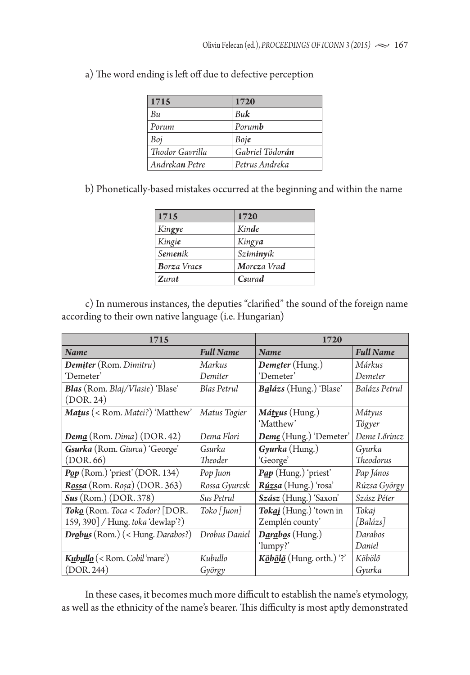| <b>1715</b>     | 1720                    |
|-----------------|-------------------------|
| Bи              | Buk                     |
| Porum           | Porumb                  |
| Boj             | Boje                    |
| Thodor Gavrilla | Gabriel Tódor <b>án</b> |
| Andrekan Petre  | Petrus Andreka          |

a) The word ending is left off due to defective perception

b) Phonetically-based mistakes occurred at the beginning and within the name

| 1715               | 1720        |
|--------------------|-------------|
| Kingye             | Kinde       |
| Kingie             | Kingya      |
| Semenik            | Sziminyik   |
| <b>Borza Vracs</b> | Morcza Vrad |
| Zurat              | Csurad      |

c) In numerous instances, the deputies "clarified" the sound of the foreign name according to their own native language (i.e. Hungarian)

| 1715                                  | 1720                                    |                                                                |                  |
|---------------------------------------|-----------------------------------------|----------------------------------------------------------------|------------------|
| Name                                  | <b>Full Name</b>                        | Name                                                           | <b>Full Name</b> |
| <b>Demiter</b> (Rom. Dimitru)         | Markus                                  | Demeter (Hung.)                                                | Márkus           |
| 'Demeter'                             | Demiter                                 | 'Demeter'                                                      | Demeter          |
| Blas (Rom. Blaj/Vlasie) 'Blase'       | <b>Blas Petrul</b>                      | Balázs (Hung.) 'Blase'                                         | Balázs Petrul    |
| (DOR. 24)                             |                                         |                                                                |                  |
| Matus (< Rom. Matei?) 'Matthew'       | Matus Togier                            | <i>Mátyus</i> (Hung.)                                          | Mátyus           |
|                                       |                                         | 'Matthew'                                                      | Tógyer           |
| $Dem\cancel{a}$ (Rom. Dima) (DOR. 42) | Dema Flori                              | Deme (Hung.) 'Demeter'                                         | Deme Lőrincz     |
| Gsurka (Rom. Giurca) 'George'         | Gsurka                                  | Gyurka (Hung.)                                                 | Gyurka           |
| (DOR.66)                              | Theoder                                 | 'George'                                                       | <b>Theodorus</b> |
| $Pop$ (Rom.) 'priest' (DOR. 134)      | Pop Juon                                | Pap (Hung.) 'priest'                                           | Pap János        |
| Rossa (Rom. Roșa) (DOR. 363)          | Rossa Gyurcsk                           | Rúzsa (Hung.) 'rosa'                                           | Rúzsa György     |
| $S_{\mu s}$ (Rom.) (DOR. 378)         | Sus Petrul                              | Szász (Hung.) 'Saxon'                                          | Szász Péter      |
| <b>Toko</b> (Rom. Toca < Todor? [DOR. | $\text{Toko} \lceil \text{luon} \rceil$ | Tokaj (Hung.) 'town in                                         | Tokaj            |
| 159, 390] / Hung. toka 'dewlap'?)     |                                         | Zemplén county'                                                | Balázs           |
| Drobus (Rom.) (< Hung. Darabos?)      | Drobus Daniel                           | Darabos (Hung.)                                                | Darabos          |
|                                       |                                         | 'lumpy?'                                                       | Daniel           |
| Kubullo (< Rom. Cobil'mare')          | Kubullo                                 | $K\ddot{\omega}b\ddot{\omega}l\ddot{\omega}$ (Hung. orth.) '?' | Köbölő           |
| (DOR. 244)                            | György                                  |                                                                | Gyurka           |

In these cases, it becomes much more difficult to establish the name's etymology, as well as the ethnicity of the name's bearer. This difficulty is most aptly demonstrated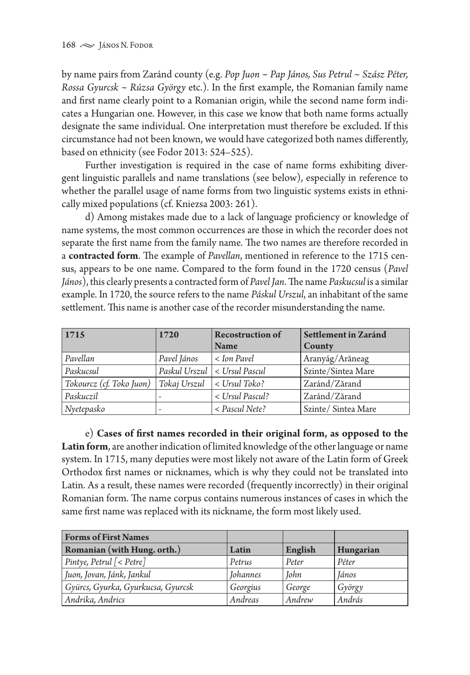by name pairs from Zaránd county (e.g. *Pop Juon* ~ *Pap János, Sus Petrul ~ Szász Péter, Rossa Gyurcsk ~ Rúzsa György* etc.)*.* In the first example, the Romanian family name and first name clearly point to a Romanian origin, while the second name form indicates a Hungarian one. However, in this case we know that both name forms actually designate the same individual. One interpretation must therefore be excluded. If this circumstance had not been known, we would have categorized both names differently, based on ethnicity (see Fodor 2013: 524–525).

Further investigation is required in the case of name forms exhibiting divergent linguistic parallels and name translations (see below), especially in reference to whether the parallel usage of name forms from two linguistic systems exists in ethnically mixed populations (cf. Kniezsa 2003: 261).

d) Among mistakes made due to a lack of language proficiency or knowledge of name systems, the most common occurrences are those in which the recorder does not separate the first name from the family name. The two names are therefore recorded in a **contracted form**. The example of *Pavellan*, mentioned in reference to the 1715 census, appears to be one name. Compared to the form found in the 1720 census (*Pavel János*), this clearly presents a contracted form of *Pavel Jan*. The name *Paskucsul* is a similar example. In 1720, the source refers to the name *Páskul Urszul*, an inhabitant of the same settlement. This name is another case of the recorder misunderstanding the name.

| 1715                     | 1720                     | <b>Recostruction of</b>        | Settlement in Zaránd |
|--------------------------|--------------------------|--------------------------------|----------------------|
|                          |                          | <b>Name</b>                    | County               |
| Pavellan                 | Pavel János              | < Ion Pavel                    | Aranyág/Arăneag      |
| Paskucsul                |                          | Paskul Urszul   < Ursul Pascul | Szinte/Sintea Mare   |
| Tokourcz (cf. Toko Juon) | Tokaj Urszul             | < Ursul Toko?                  | Zaránd/Zărand        |
| Paskuczil                | $\overline{\phantom{a}}$ | < Ursul Pascul?                | Zaránd/Zărand        |
| Nyetepasko               | $\overline{\phantom{a}}$ | < Pascul Nete?                 | Szinte/Sintea Mare   |

e) **Cases of first names recorded in their original form, as opposed to the Latin form**, are another indication of limited knowledge of the other language or name system. In 1715, many deputies were most likely not aware of the Latin form of Greek Orthodox first names or nicknames, which is why they could not be translated into Latin. As a result, these names were recorded (frequently incorrectly) in their original Romanian form. The name corpus contains numerous instances of cases in which the same first name was replaced with its nickname, the form most likely used.

| <b>Forms of First Names</b>        |                 |             |           |
|------------------------------------|-----------------|-------------|-----------|
| Romanian (with Hung. orth.)        | Latin           | English     | Hungarian |
| Pintye, Petrul [< Petre]           | Petrus          | Peter       | Péter     |
| Juon, Jovan, Jánk, Jankul          | <b>Johannes</b> | <b>John</b> | János     |
| Gyürcs, Gyurka, Gyurkucsa, Gyurcsk | Georgius        | George      | György    |
| Andrika, Andrics                   | Andreas         | Andrew      | András    |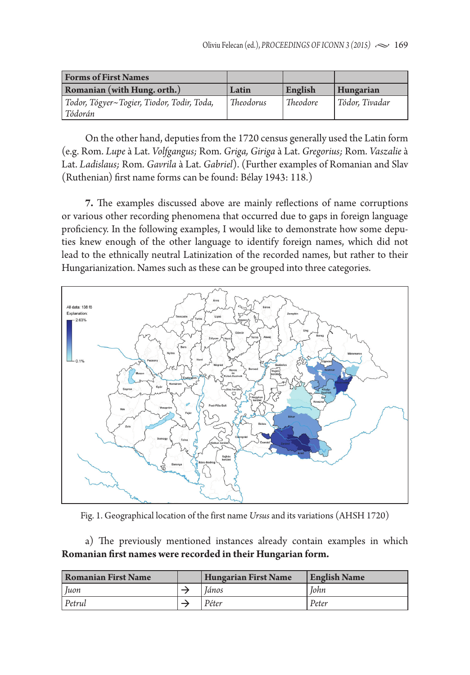| <b>Forms of First Names</b>                           |           |          |                |
|-------------------------------------------------------|-----------|----------|----------------|
| Romanian (with Hung. orth.)                           | Latin     | English  | Hungarian      |
| Todor, Tógyer~Togier, Tiodor, Todir, Toda,<br>Tódorán | Theodorus | Theodore | Tódor, Tivadar |

On the other hand, deputies from the 1720 census generally used the Latin form (e.g. Rom. *Lupe* à Lat. *Volfgangus;* Rom. *Griga, Giriga* à Lat. *Gregorius;* Rom. *Vaszalie* à Lat. *Ladislaus;* Rom. *Gavrila* à Lat. *Gabriel*). (Further examples of Romanian and Slav (Ruthenian) first name forms can be found: Bélay 1943: 118.)

**7.** The examples discussed above are mainly reflections of name corruptions or various other recording phenomena that occurred due to gaps in foreign language proficiency. In the following examples, I would like to demonstrate how some deputies knew enough of the other language to identify foreign names, which did not lead to the ethnically neutral Latinization of the recorded names, but rather to their Hungarianization. Names such as these can be grouped into three categories.



Fig. 1. Geographical location of the first name *Ursus* and its variations (AHSH 1720)

a) The previously mentioned instances already contain examples in which **Romanian first names were recorded in their Hungarian form.** 

| <b>Romanian First Name</b> | <b>Hungarian First Name</b> | <b>English Name</b> |
|----------------------------|-----------------------------|---------------------|
| Juon                       | Iános                       | <b>John</b>         |
| Petrul                     | Péter                       | Peter               |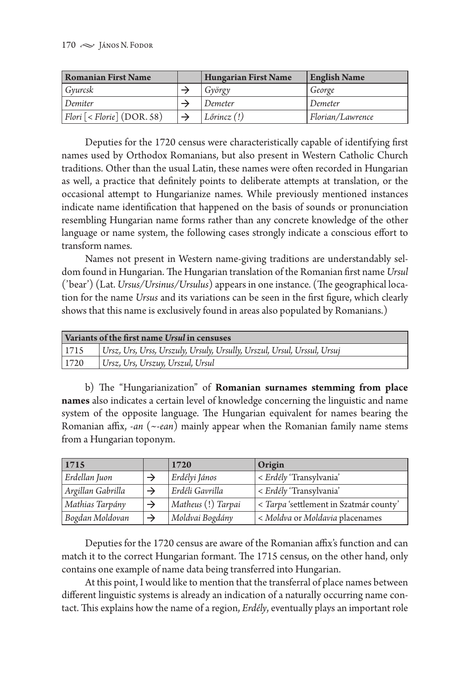| <b>Romanian First Name</b>       | <b>Hungarian First Name</b> | <b>English Name</b> |
|----------------------------------|-----------------------------|---------------------|
| Gvurcsk                          | György                      | George              |
| Demiter                          | Demeter                     | Demeter             |
| $ Flori$ $[ Florie]$ $(DOR. 58)$ | $ L\sigma$ rincz $(!)$      | Florian/Lawrence    |

Deputies for the 1720 census were characteristically capable of identifying first names used by Orthodox Romanians, but also present in Western Catholic Church traditions. Other than the usual Latin, these names were often recorded in Hungarian as well, a practice that definitely points to deliberate attempts at translation, or the occasional attempt to Hungarianize names. While previously mentioned instances indicate name identification that happened on the basis of sounds or pronunciation resembling Hungarian name forms rather than any concrete knowledge of the other language or name system, the following cases strongly indicate a conscious effort to transform names.

Names not present in Western name-giving traditions are understandably seldom found in Hungarian. The Hungarian translation of the Romanian first name *Ursul* ('bear') (Lat. *Ursus/Ursinus/Ursulus*) appears in one instance. (The geographical location for the name *Ursus* and its variations can be seen in the first figure, which clearly shows that this name is exclusively found in areas also populated by Romanians.)

| Variants of the first name Ursul in censuses |                                                                         |  |  |  |
|----------------------------------------------|-------------------------------------------------------------------------|--|--|--|
| 1715                                         | Ursz, Urs, Urss, Urszuly, Ursuly, Ursully, Urszul, Ursul, Urssul, Ursuj |  |  |  |
| 1720                                         | Ursz, Urs, Urszuy, Urszul, Ursul                                        |  |  |  |

b) The "Hungarianization" of **Romanian surnames stemming from place names** also indicates a certain level of knowledge concerning the linguistic and name system of the opposite language. The Hungarian equivalent for names bearing the Romanian affix, -*an* (~-*ean*) mainly appear when the Romanian family name stems from a Hungarian toponym.

| 1715              | 1720               | Origin                                 |
|-------------------|--------------------|----------------------------------------|
| Erdellan Juon     | Erdélyi János      | < Erdély 'Transylvania'                |
| Argillan Gabrilla | Erdéli Gavrilla    | < Erdély 'Transylvania'                |
| Mathias Tarpány   | Matheus (!) Tarpai | < Tarpa 'settlement in Szatmár county' |
| Bogdan Moldovan   | Moldvai Bogdány    | < Moldva or Moldavia placenames        |

Deputies for the 1720 census are aware of the Romanian affix's function and can match it to the correct Hungarian formant. The 1715 census, on the other hand, only contains one example of name data being transferred into Hungarian.

At this point, I would like to mention that the transferral of place names between different linguistic systems is already an indication of a naturally occurring name contact. This explains how the name of a region, *Erdély*, eventually plays an important role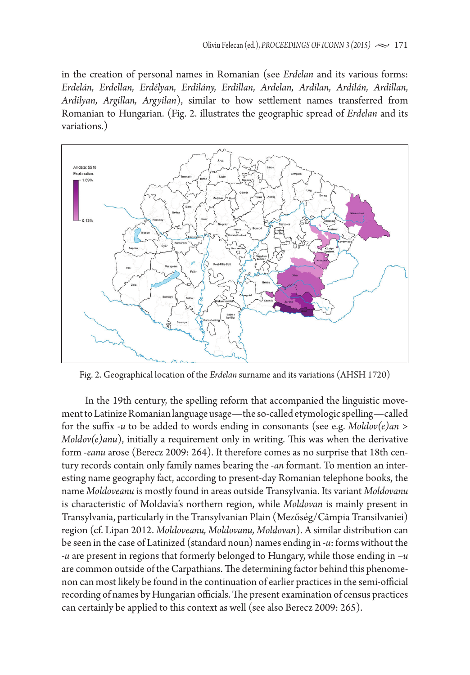in the creation of personal names in Romanian (see *Erdelan* and its various forms: *Erdelán, Erdellan, Erdélyan, Erdilány, Erdillan, Ardelan, Ardilan, Ardilán, Ardillan, Ardilyan, Argillan, Argyilan*), similar to how settlement names transferred from Romanian to Hungarian. (Fig. 2. illustrates the geographic spread of *Erdelan* and its variations.)



Fig. 2. Geographical location of the *Erdelan* surname and its variations (AHSH 1720)

In the 19th century, the spelling reform that accompanied the linguistic movement to Latinize Romanian language usage—the so-called etymologic spelling—called for the suffix -*u* to be added to words ending in consonants (see e.g. *Moldov(e)an > Moldov(e)anu*), initially a requirement only in writing. This was when the derivative form -*eanu* arose (Berecz 2009: 264). It therefore comes as no surprise that 18th century records contain only family names bearing the *-an* formant. To mention an interesting name geography fact, according to present-day Romanian telephone books, the name *Moldoveanu* is mostly found in areas outside Transylvania. Its variant *Moldovanu*  is characteristic of Moldavia's northern region, while *Moldovan* is mainly present in Transylvania, particularly in the Transylvanian Plain (Mezőség/Câmpia Transilvaniei) region (cf. Lipan 2012. *Moldoveanu, Moldovanu, Moldovan*). A similar distribution can be seen in the case of Latinized (standard noun) names ending in -*u*: forms without the *-u* are present in regions that formerly belonged to Hungary, while those ending in –*u* are common outside of the Carpathians. The determining factor behind this phenomenon can most likely be found in the continuation of earlier practices in the semi-official recording of names by Hungarian officials. The present examination of census practices can certainly be applied to this context as well (see also Berecz 2009: 265).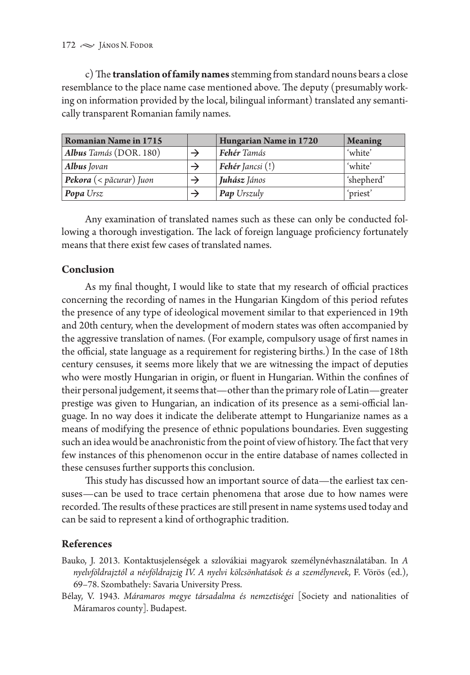c) The **translation of family names** stemming from standard nouns bears a close resemblance to the place name case mentioned above. The deputy (presumably working on information provided by the local, bilingual informant) translated any semantically transparent Romanian family names.

| <b>Romanian Name in 1715</b>                    | Hungarian Name in 1720    | <b>Meaning</b> |
|-------------------------------------------------|---------------------------|----------------|
| Albus Tamás (DOR. 180)                          | <b>Fehér</b> Tamás        | 'white'        |
| <b>Albus</b> Jovan                              | <b>Fehér</b> Jancsi $(!)$ | 'white'        |
| <b>Pekora</b> $\left($ < păcurar $\right)$ Juon | Juhász János              | 'shepherd'     |
| <b>Popa</b> Ursz                                | <b>Pap Urszuly</b>        | 'priest'       |

Any examination of translated names such as these can only be conducted following a thorough investigation. The lack of foreign language proficiency fortunately means that there exist few cases of translated names.

## **Conclusion**

As my final thought, I would like to state that my research of official practices concerning the recording of names in the Hungarian Kingdom of this period refutes the presence of any type of ideological movement similar to that experienced in 19th and 20th century, when the development of modern states was often accompanied by the aggressive translation of names. (For example, compulsory usage of first names in the official, state language as a requirement for registering births.) In the case of 18th century censuses, it seems more likely that we are witnessing the impact of deputies who were mostly Hungarian in origin, or fluent in Hungarian. Within the confines of their personal judgement, it seems that—other than the primary role of Latin—greater prestige was given to Hungarian, an indication of its presence as a semi-official language. In no way does it indicate the deliberate attempt to Hungarianize names as a means of modifying the presence of ethnic populations boundaries. Even suggesting such an idea would be anachronistic from the point of view of history. The fact that very few instances of this phenomenon occur in the entire database of names collected in these censuses further supports this conclusion.

This study has discussed how an important source of data—the earliest tax censuses—can be used to trace certain phenomena that arose due to how names were recorded. The results of these practices are still present in name systems used today and can be said to represent a kind of orthographic tradition.

## **References**

Bauko, J. 2013. Kontaktusjelenségek a szlovákiai magyarok személynévhasználatában. In *A nyelvföldrajztól a névföldrajzig IV. A nyelvi kölcsönhatások és a személynevek*, F. Vörös (ed.), 69–78. Szombathely: Savaria University Press.

Bélay, V. 1943. *Máramaros megye társadalma és nemzetiségei* [Society and nationalities of Máramaros county]. Budapest.